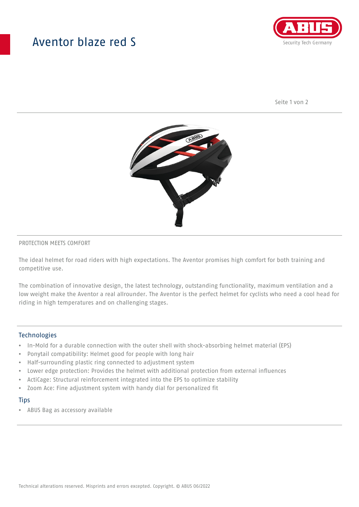## Aventor blaze red S



Seite 1 von 2



#### PROTECTION MEETS COMFORT

The ideal helmet for road riders with high expectations. The Aventor promises high comfort for both training and competitive use.

The combination of innovative design, the latest technology, outstanding functionality, maximum ventilation and a low weight make the Aventor a real allrounder. The Aventor is the perfect helmet for cyclists who need a cool head for riding in high temperatures and on challenging stages.

#### **Technologies**

- In-Mold for a durable connection with the outer shell with shock-absorbing helmet material (EPS)
- Ponytail compatibility: Helmet good for people with long hair
- Half-surrounding plastic ring connected to adjustment system
- Lower edge protection: Provides the helmet with additional protection from external influences
- ActiCage: Structural reinforcement integrated into the EPS to optimize stability
- Zoom Ace: Fine adjustment system with handy dial for personalized fit

#### **Tips**

• ABUS Bag as accessory available